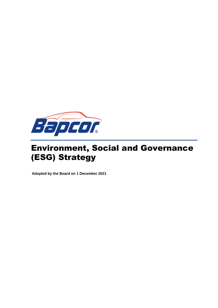

# Environment, Social and Governance (ESG) Strategy

**Adopted by the Board on 1 December 2021**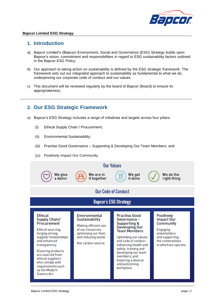

#### **1. Introduction**

- a) Bapcor Limited's (Bapcor) Environment, Social and Governance (ESG) Strategy builds upon Bapcor's vision, commitment and responsibilities in regard to ESG sustainability factors outlined in the Bapcor ESG Policy.
- b) Our approach to taking action on sustainability is defined by the ESG strategic framework. The framework sets out our integrated approach to sustainability as fundamental to what we do, underpinning our corporate code of conduct and our values.
- c) This document will be reviewed regularly by the board of Bapcor (Board) to ensure its appropriateness.

#### **2. Our ESG Strategic Framework**

- a) Bapcor's ESG Strategy includes a range of initiatives and targets across four pillars:
	- (i) Ethical Supply Chain / Procurement;
	- (ii) Environmental Sustainability;
	- (iii) Practise Good Governance Supporting & Developing Our Team Members; and
	- (iv) Positively Impact Our Community.

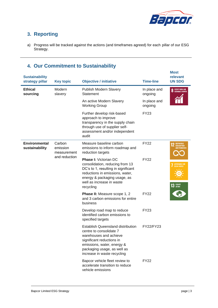

## **3. Reporting**

a) Progress will be tracked against the actions (and timeframes agreed) for each pillar of our ESG Strategy.

## **4. Our Commitment to Sustainability**

| <b>Sustainability</b><br>strategy pillar | <b>Key topic</b>                  | <b>Objective / initiative</b>                                                                                                                                                                                          | <b>Time-line</b>        | <b>Most</b><br>relevant<br><b>UN SDG</b>                                      |
|------------------------------------------|-----------------------------------|------------------------------------------------------------------------------------------------------------------------------------------------------------------------------------------------------------------------|-------------------------|-------------------------------------------------------------------------------|
| <b>Ethical</b><br>sourcing               | Modern<br>slavery                 | <b>Publish Modern Slavery</b><br>Statement                                                                                                                                                                             | In place and<br>ongoing | <b>8</b> DECENT WORK AND                                                      |
|                                          |                                   | An active Modern Slavery<br><b>Working Group</b>                                                                                                                                                                       | In place and<br>ongoing |                                                                               |
|                                          |                                   | Further develop risk-based<br>approach to improve<br>transparency in the supply chain<br>through use of supplier self-<br>assessment and/or independent<br>audit                                                       | <b>FY23</b>             |                                                                               |
| <b>Environmental</b><br>sustainability   | Carbon<br>emission<br>measurement | Measure baseline carbon<br>emissions to inform roadmap and<br>reduction targets                                                                                                                                        | <b>FY22</b>             | RESPONSIBLE<br><b>CONSUMPTION</b><br><b>AND PRODUCTION</b>                    |
|                                          | and reduction                     | <b>Phase I: Victorian DC</b><br>consolidation, reducing from 13<br>DC's to 1, resulting in significant<br>reductions in emissions, water,<br>energy & packaging usage, as<br>well as increase in waste<br>recycling    | <b>FY22</b>             | <b>AFFORDABLE AND</b><br><b>CLEAN ENERGY</b><br>$13$ $\frac{CLIMATE}{ACTION}$ |
|                                          |                                   | Phase II: Measure scope 1, 2<br>and 3 carbon emissions for entire<br>business                                                                                                                                          | <b>FY22</b>             |                                                                               |
|                                          |                                   | Develop road map to reduce<br>identified carbon emissions to<br>specified targets                                                                                                                                      | <b>FY23</b>             |                                                                               |
|                                          |                                   | <b>Establish Queensland distribution</b><br>centre to consolidate 7<br>warehouses and achieve<br>significant reductions in<br>emissions, water, energy &<br>packaging usage, as well as<br>increase in waste recycling | FY22/FY23               |                                                                               |
|                                          |                                   | Bapcor vehicle fleet review to<br>accelerate transition to reduce<br>vehicle emissions                                                                                                                                 | <b>FY22</b>             |                                                                               |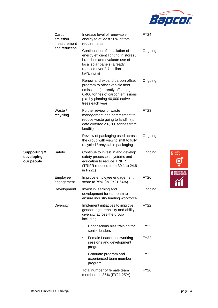

|                                                     | Carbon<br>emission<br>measurement | Increase level of renewable<br>energy to at least 50% of total<br>requirements                                                                                                                 | <b>FY24</b>                                                         |
|-----------------------------------------------------|-----------------------------------|------------------------------------------------------------------------------------------------------------------------------------------------------------------------------------------------|---------------------------------------------------------------------|
|                                                     | and reduction                     | Continuation of installation of<br>energy efficient lighting in stores /<br>branches and evaluate use of<br>local solar panels (already<br>reduced over 3.7 million<br>kw/annum)               | Ongoing                                                             |
|                                                     |                                   | Renew and expand carbon offset<br>program to offset vehicle fleet<br>emissions (currently offsetting<br>6,400 tonnes of carbon emissions<br>p.a. by planting 40,000 native<br>trees each year) | Ongoing                                                             |
|                                                     | Waste /<br>recycling              | Further review of waste<br>management and commitment to<br>reduce waste going to landfill (to<br>date diverted c.6,200 tonnes from<br>landfill)                                                | <b>FY23</b>                                                         |
|                                                     |                                   | Review of packaging used across<br>the group with view to shift to fully<br>recycled / recyclable packaging                                                                                    | Ongoing                                                             |
| <b>Supporting &amp;</b><br>developing<br>our people | Safety                            | Continue to invest in and develop<br>safety processes, systems and<br>education to reduce TRIFR<br>(TRIFR reduced from 30.1 to 24.8<br>in $FY21)$                                              | Ongoing<br><b>GENDER</b><br>EQUALITY<br>5<br><b>DECENT WORK AND</b> |
|                                                     | Employee<br>engagement            | Improve employee engagement<br>score to 75% (In FY21 64%)                                                                                                                                      | <b>FY26</b>                                                         |
|                                                     | Development                       | Invest in learning and<br>development for our team to<br>ensure industry leading workforce                                                                                                     | Ongoing                                                             |
|                                                     | <b>Diversity</b>                  | Implement initiatives to improve<br>gender, age, ethnicity and ability<br>diversity across the group<br>including:                                                                             | <b>FY22</b>                                                         |
|                                                     |                                   | Unconscious bias training for<br>$\bullet$<br>senior leaders                                                                                                                                   | <b>FY22</b>                                                         |
|                                                     |                                   | Female Leaders networking<br>$\bullet$<br>sessions and development<br>program                                                                                                                  | <b>FY22</b>                                                         |
|                                                     |                                   | Graduate program and<br>$\bullet$<br>experienced team member<br>program                                                                                                                        | <b>FY22</b>                                                         |
|                                                     |                                   | Total number of female team<br>members to 35% (FY21 25%)                                                                                                                                       | <b>FY26</b>                                                         |